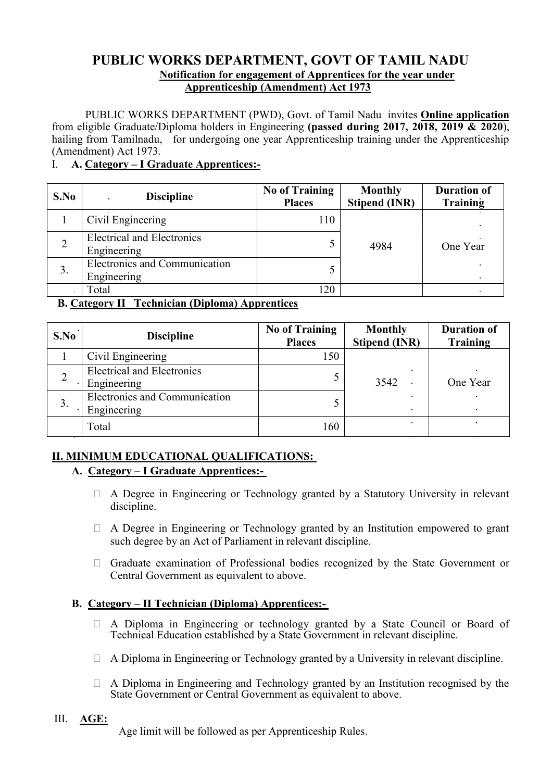# **PUBLIC WORKS DEPARTMENT, GOVT OF TAMIL NADU Notification for engagement of Apprentices for the year under Apprenticeship (Amendment) Act 1973**

PUBLIC WORKS DEPARTMENT (PWD), Govt. of Tamil Nadu invites **Online application** from eligible Graduate/Diploma holders in Engineering **(passed during 2017, 2018, 2019 & 2020**), hailing from Tamilnadu, for undergoing one year Apprenticeship training under the Apprenticeship (Amendment) Act 1973.

### I. **A. Category – I Graduate Apprentices:-**

| S.No           | <b>Discipline</b>                                | <b>No of Training</b><br><b>Places</b> | <b>Monthly</b><br><b>Stipend (INR)</b> | <b>Duration of</b><br><b>Training</b> |
|----------------|--------------------------------------------------|----------------------------------------|----------------------------------------|---------------------------------------|
|                | Civil Engineering                                | 110                                    | 4984                                   |                                       |
| $\overline{2}$ | <b>Electrical and Electronics</b><br>Engineering |                                        |                                        | One Year                              |
| 3.             | Electronics and Communication<br>Engineering     |                                        |                                        |                                       |
|                | Total                                            | 120                                    |                                        |                                       |

**B. Category II Technician (Diploma) Apprentices**

| S.No | <b>Discipline</b>                                | <b>No of Training</b><br><b>Places</b> | <b>Monthly</b><br><b>Stipend (INR)</b> | <b>Duration of</b><br><b>Training</b> |
|------|--------------------------------------------------|----------------------------------------|----------------------------------------|---------------------------------------|
|      | Civil Engineering                                | 150                                    |                                        |                                       |
|      | <b>Electrical and Electronics</b><br>Engineering |                                        | 3542                                   | One Year                              |
| 3.   | Electronics and Communication<br>Engineering     |                                        |                                        |                                       |
|      | Total                                            | 160                                    |                                        |                                       |

# **II. MINIMUM EDUCATIONAL QUALIFICATIONS:**

# **A. Category – I Graduate Apprentices:-**

- $\Box$  A Degree in Engineering or Technology granted by a Statutory University in relevant discipline.
- A Degree in Engineering or Technology granted by an Institution empowered to grant such degree by an Act of Parliament in relevant discipline.
- Graduate examination of Professional bodies recognized by the State Government or Central Government as equivalent to above.

# **B. Category – II Technician (Diploma) Apprentices:-**

- A Diploma in Engineering or technology granted by a State Council or Board of Technical Education established by a State Government in relevant discipline.
- $\Box$  A Diploma in Engineering or Technology granted by a University in relevant discipline.
- A Diploma in Engineering and Technology granted by an Institution recognised by the State Government or Central Government as equivalent to above.

# III. **AGE:**

Age limit will be followed as per Apprenticeship Rules.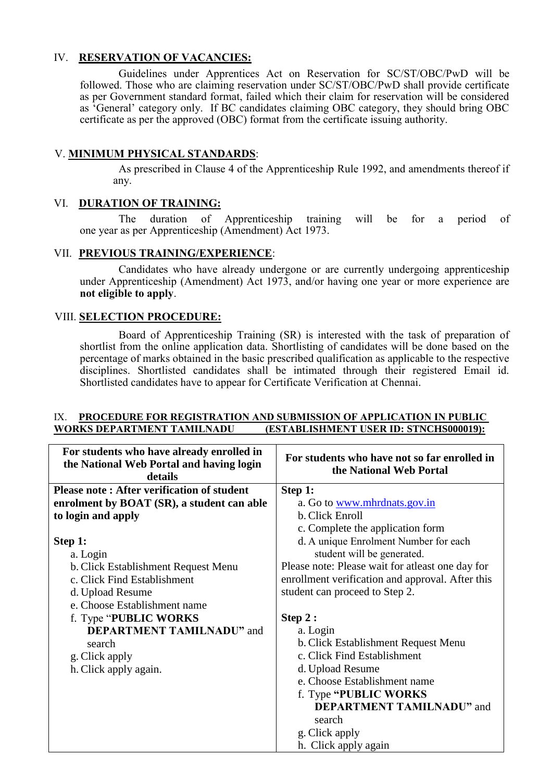### IV. **RESERVATION OF VACANCIES:**

Guidelines under Apprentices Act on Reservation for SC/ST/OBC/PwD will be followed. Those who are claiming reservation under SC/ST/OBC/PwD shall provide certificate as per Government standard format, failed which their claim for reservation will be considered as 'General' category only. If BC candidates claiming OBC category, they should bring OBC certificate as per the approved (OBC) format from the certificate issuing authority.

### V. **MINIMUM PHYSICAL STANDARDS**:

As prescribed in Clause 4 of the Apprenticeship Rule 1992, and amendments thereof if any.

### VI. **DURATION OF TRAINING:**

The duration of Apprenticeship training will be for a period of one year as per Apprenticeship (Amendment) Act 1973.

### VII. **PREVIOUS TRAINING/EXPERIENCE**:

 Candidates who have already undergone or are currently undergoing apprenticeship under Apprenticeship (Amendment) Act 1973, and/or having one year or more experience are **not eligible to apply**.

### VIII. **SELECTION PROCEDURE:**

 Board of Apprenticeship Training (SR) is interested with the task of preparation of shortlist from the online application data. Shortlisting of candidates will be done based on the percentage of marks obtained in the basic prescribed qualification as applicable to the respective disciplines. Shortlisted candidates shall be intimated through their registered Email id. Shortlisted candidates have to appear for Certificate Verification at Chennai.

#### IX. **PROCEDURE FOR REGISTRATION AND SUBMISSION OF APPLICATION IN PUBLIC WORKS DEPARTMENT TAMILNADU (ESTABLISHMENT USER ID: STNCHS000019):**

| For students who have already enrolled in<br>the National Web Portal and having login<br>details | For students who have not so far enrolled in<br>the National Web Portal |
|--------------------------------------------------------------------------------------------------|-------------------------------------------------------------------------|
| <b>Please note: After verification of student</b>                                                | Step 1:                                                                 |
| enrolment by BOAT (SR), a student can able                                                       | a. Go to <u>www.mhrdnats.gov.in</u>                                     |
| to login and apply                                                                               | b. Click Enroll                                                         |
|                                                                                                  | c. Complete the application form                                        |
| Step 1:                                                                                          | d. A unique Enrolment Number for each                                   |
| a. Login                                                                                         | student will be generated.                                              |
| b. Click Establishment Request Menu                                                              | Please note: Please wait for atleast one day for                        |
| c. Click Find Establishment                                                                      | enrollment verification and approval. After this                        |
| d. Upload Resume                                                                                 | student can proceed to Step 2.                                          |
| e. Choose Establishment name                                                                     |                                                                         |
| f. Type "PUBLIC WORKS"                                                                           | Step 2:                                                                 |
| <b>DEPARTMENT TAMILNADU"</b> and                                                                 | a. Login                                                                |
| search                                                                                           | b. Click Establishment Request Menu                                     |
| g. Click apply                                                                                   | c. Click Find Establishment                                             |
| h. Click apply again.                                                                            | d. Upload Resume                                                        |
|                                                                                                  | e. Choose Establishment name                                            |
|                                                                                                  | f. Type "PUBLIC WORKS"                                                  |
|                                                                                                  | <b>DEPARTMENT TAMILNADU"</b> and                                        |
|                                                                                                  | search                                                                  |
|                                                                                                  | g. Click apply                                                          |
|                                                                                                  | h. Click apply again                                                    |